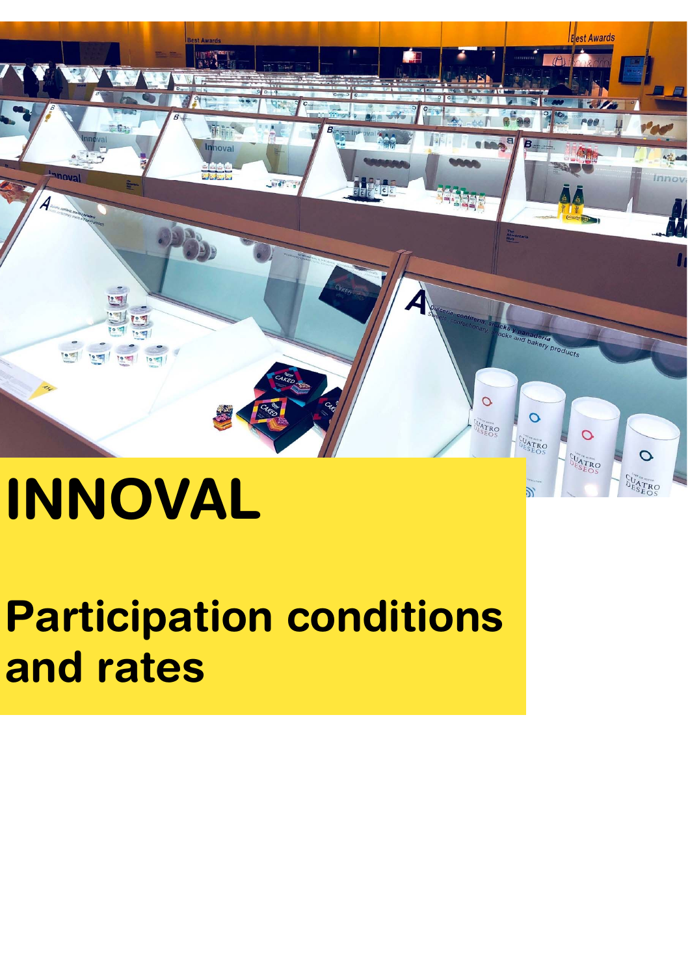

# **INNOVAL**

# **Participation conditions and rates**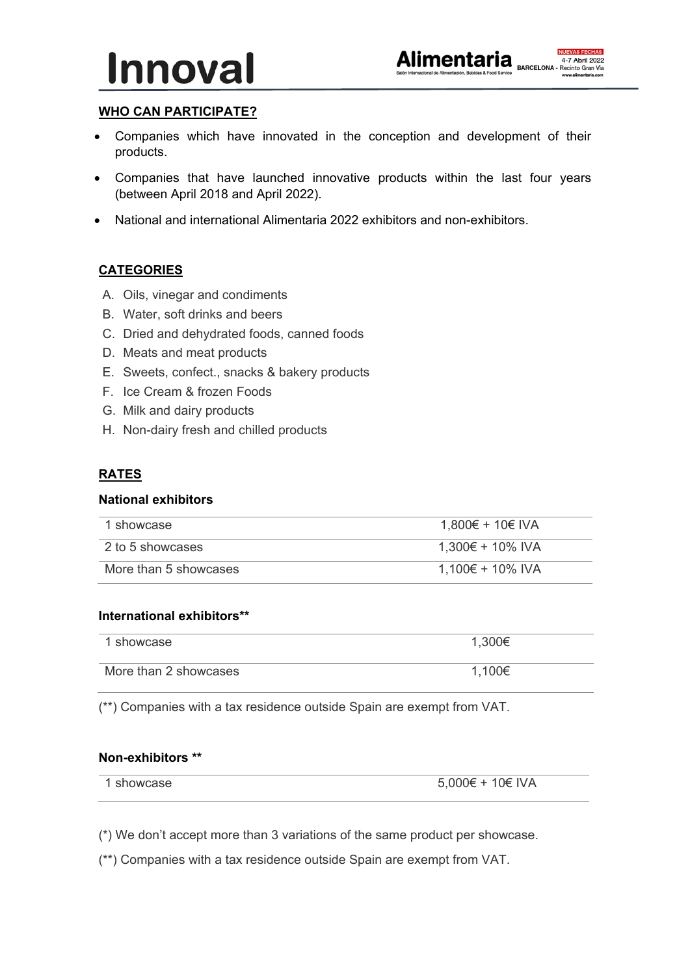



# **WHO CAN PARTICIPATE?**

- Companies which have innovated in the conception and development of their products.
- Companies that have launched innovative products within the last four years (between April 2018 and April 2022).
- National and international Alimentaria 2022 exhibitors and non-exhibitors.

### **CATEGORIES**

- A. Oils, vinegar and condiments
- B. Water, soft drinks and beers
- C. Dried and dehydrated foods, canned foods
- D. Meats and meat products
- E. Sweets, confect., snacks & bakery products
- F. Ice Cream & frozen Foods
- G. Milk and dairy products
- H. Non-dairy fresh and chilled products

#### **RATES**

#### **National exhibitors**

| 1 showcase            | 1,800€ + 10€ IVA |
|-----------------------|------------------|
| 2 to 5 showcases      | 1,300€ + 10% IVA |
| More than 5 showcases | 1,100€ + 10% IVA |

#### **International exhibitors\*\***

| 1 showcase            | 1,300€ |
|-----------------------|--------|
| More than 2 showcases | 1,100€ |

(\*\*) Companies with a tax residence outside Spain are exempt from VAT.

#### **Non-exhibitors \*\***

| showcase | 5,000€ + 10€ IVA |
|----------|------------------|

(\*) We don't accept more than 3 variations of the same product per showcase.

(\*\*) Companies with a tax residence outside Spain are exempt from VAT.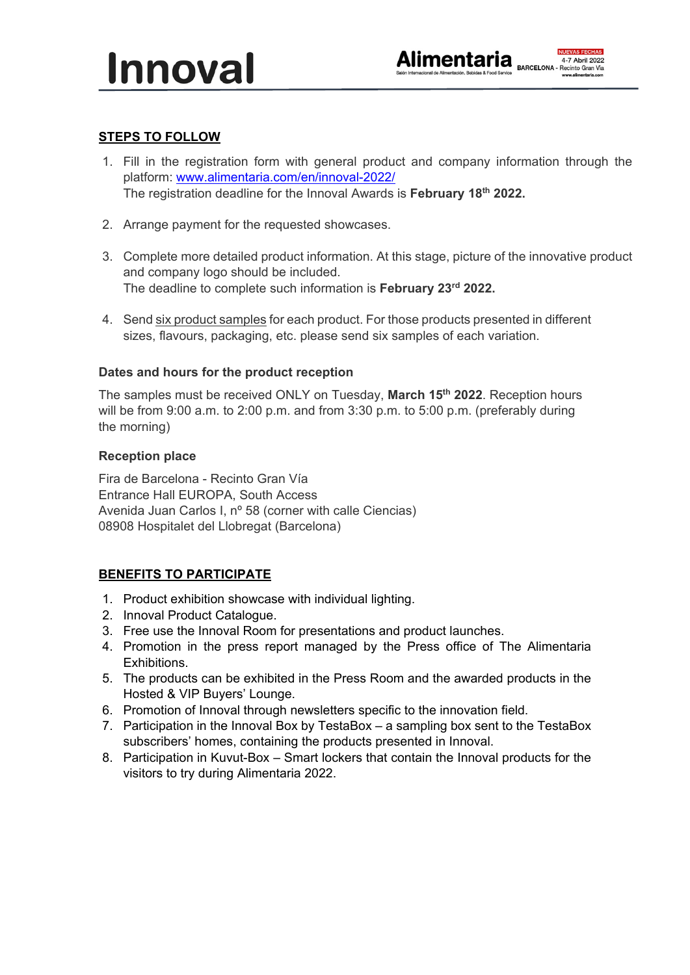# **STEPS TO FOLLOW**

- 1. Fill in the registration form with general product and company information through the platform: www.alimentaria.com/en/innoval-2022/ The registration deadline for the Innoval Awards is **February 18th 2022.**
- 2. Arrange payment for the requested showcases.
- 3. Complete more detailed product information. At this stage, picture of the innovative product and company logo should be included. The deadline to complete such information is **February 23rd 2022.**
- 4. Send six product samples for each product. For those products presented in different sizes, flavours, packaging, etc. please send six samples of each variation.

#### **Dates and hours for the product reception**

The samples must be received ONLY on Tuesday, **March 15th 2022**. Reception hours will be from 9:00 a.m. to 2:00 p.m. and from 3:30 p.m. to 5:00 p.m. (preferably during the morning)

#### **Reception place**

Fira de Barcelona - Recinto Gran Vía Entrance Hall EUROPA, South Access Avenida Juan Carlos I, nº 58 (corner with calle Ciencias) 08908 Hospitalet del Llobregat (Barcelona)

# **BENEFITS TO PARTICIPATE**

- 1. Product exhibition showcase with individual lighting.
- 2. Innoval Product Catalogue.
- 3. Free use the Innoval Room for presentations and product launches.
- 4. Promotion in the press report managed by the Press office of The Alimentaria Exhibitions.
- 5. The products can be exhibited in the Press Room and the awarded products in the Hosted & VIP Buyers' Lounge.
- 6. Promotion of Innoval through newsletters specific to the innovation field.
- 7. Participation in the Innoval Box by TestaBox a sampling box sent to the TestaBox subscribers' homes, containing the products presented in Innoval.
- 8. Participation in Kuvut-Box Smart lockers that contain the Innoval products for the visitors to try during Alimentaria 2022.